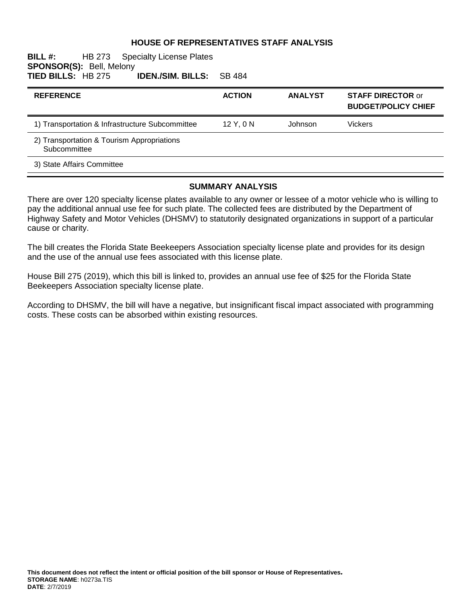### **HOUSE OF REPRESENTATIVES STAFF ANALYSIS**

#### **BILL #:** HB 273 Specialty License Plates **SPONSOR(S): Bell, Melony<br>TIED BILLS: HB 275 IDEN./SIM. BILLS:** SB 484

| <b>REFERENCE</b>                                           | <b>ACTION</b> | <b>ANALYST</b> | <b>STAFF DIRECTOR or</b><br><b>BUDGET/POLICY CHIEF</b> |
|------------------------------------------------------------|---------------|----------------|--------------------------------------------------------|
| 1) Transportation & Infrastructure Subcommittee            | 12Y.0N        | Johnson        | Vickers                                                |
| 2) Transportation & Tourism Appropriations<br>Subcommittee |               |                |                                                        |
| 3) State Affairs Committee                                 |               |                |                                                        |

#### **SUMMARY ANALYSIS**

There are over 120 specialty license plates available to any owner or lessee of a motor vehicle who is willing to pay the additional annual use fee for such plate. The collected fees are distributed by the Department of Highway Safety and Motor Vehicles (DHSMV) to statutorily designated organizations in support of a particular cause or charity.

The bill creates the Florida State Beekeepers Association specialty license plate and provides for its design and the use of the annual use fees associated with this license plate.

House Bill 275 (2019), which this bill is linked to, provides an annual use fee of \$25 for the Florida State Beekeepers Association specialty license plate.

According to DHSMV, the bill will have a negative, but insignificant fiscal impact associated with programming costs. These costs can be absorbed within existing resources.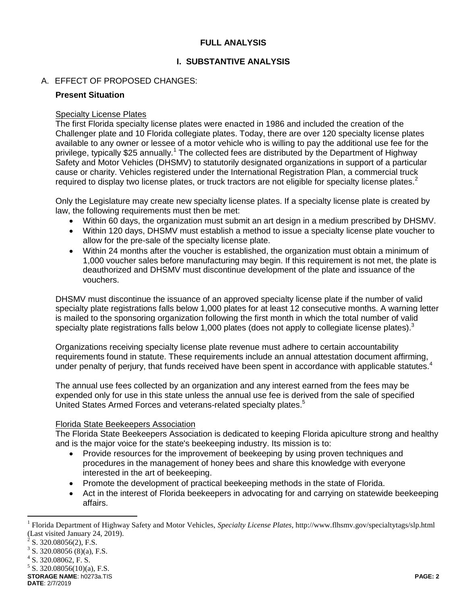## **FULL ANALYSIS**

# **I. SUBSTANTIVE ANALYSIS**

# A. EFFECT OF PROPOSED CHANGES:

#### **Present Situation**

#### Specialty License Plates

The first Florida specialty license plates were enacted in 1986 and included the creation of the Challenger plate and 10 Florida collegiate plates. Today, there are over 120 specialty license plates available to any owner or lessee of a motor vehicle who is willing to pay the additional use fee for the privilege, typically \$25 annually.<sup>1</sup> The collected fees are distributed by the Department of Highway Safety and Motor Vehicles (DHSMV) to statutorily designated organizations in support of a particular cause or charity. Vehicles registered under the International Registration Plan, a commercial truck required to display two license plates, or truck tractors are not eligible for specialty license plates.<sup>2</sup>

Only the Legislature may create new specialty license plates. If a specialty license plate is created by law, the following requirements must then be met:

- Within 60 days, the organization must submit an art design in a medium prescribed by DHSMV.
- Within 120 days, DHSMV must establish a method to issue a specialty license plate voucher to allow for the pre-sale of the specialty license plate.
- Within 24 months after the voucher is established, the organization must obtain a minimum of 1,000 voucher sales before manufacturing may begin. If this requirement is not met, the plate is deauthorized and DHSMV must discontinue development of the plate and issuance of the vouchers.

DHSMV must discontinue the issuance of an approved specialty license plate if the number of valid specialty plate registrations falls below 1,000 plates for at least 12 consecutive months. A warning letter is mailed to the sponsoring organization following the first month in which the total number of valid specialty plate registrations falls below 1,000 plates (does not apply to collegiate license plates). $3$ 

Organizations receiving specialty license plate revenue must adhere to certain accountability requirements found in statute. These requirements include an annual attestation document affirming, under penalty of perjury, that funds received have been spent in accordance with applicable statutes.

The annual use fees collected by an organization and any interest earned from the fees may be expended only for use in this state unless the annual use fee is derived from the sale of specified United States Armed Forces and veterans-related specialty plates.<sup>5</sup>

## Florida State Beekeepers Association

The Florida State Beekeepers Association is dedicated to keeping Florida apiculture strong and healthy and is the major voice for the state's beekeeping industry. Its mission is to:

- Provide resources for the improvement of beekeeping by using proven techniques and procedures in the management of honey bees and share this knowledge with everyone interested in the art of beekeeping.
- Promote the development of practical beekeeping methods in the state of Florida.
- Act in the interest of Florida beekeepers in advocating for and carrying on statewide beekeeping affairs.

 $\overline{a}$ 

**STORAGE NAME**: h0273a.TIS **PAGE: 2**  $5$  S. 320.08056(10)(a), F.S.

**DATE**: 2/7/2019

<sup>1</sup> Florida Department of Highway Safety and Motor Vehicles, *Specialty License Plates,* http://www.flhsmv.gov/specialtytags/slp.html (Last visited January 24, 2019).

 $^{2}$  S. 320.08056(2), F.S.

 $3$  S. 320.08056 (8)(a), F.S.

<sup>4</sup> S. 320.08062, F. S.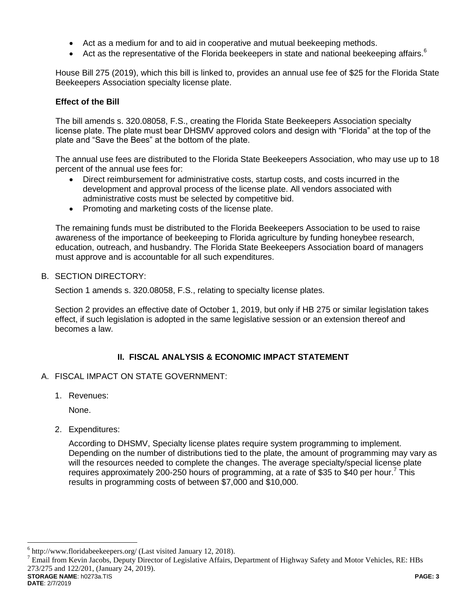- Act as a medium for and to aid in cooperative and mutual beekeeping methods.
- $\bullet$  Act as the representative of the Florida beekeepers in state and national beekeeping affairs.<sup>6</sup>

House Bill 275 (2019), which this bill is linked to, provides an annual use fee of \$25 for the Florida State Beekeepers Association specialty license plate.

### **Effect of the Bill**

The bill amends s. 320.08058, F.S., creating the Florida State Beekeepers Association specialty license plate. The plate must bear DHSMV approved colors and design with "Florida" at the top of the plate and "Save the Bees" at the bottom of the plate.

The annual use fees are distributed to the Florida State Beekeepers Association, who may use up to 18 percent of the annual use fees for:

- Direct reimbursement for administrative costs, startup costs, and costs incurred in the development and approval process of the license plate. All vendors associated with administrative costs must be selected by competitive bid.
- Promoting and marketing costs of the license plate.

The remaining funds must be distributed to the Florida Beekeepers Association to be used to raise awareness of the importance of beekeeping to Florida agriculture by funding honeybee research, education, outreach, and husbandry. The Florida State Beekeepers Association board of managers must approve and is accountable for all such expenditures.

B. SECTION DIRECTORY:

Section 1 amends s. 320.08058, F.S., relating to specialty license plates.

Section 2 provides an effective date of October 1, 2019, but only if HB 275 or similar legislation takes effect, if such legislation is adopted in the same legislative session or an extension thereof and becomes a law.

## **II. FISCAL ANALYSIS & ECONOMIC IMPACT STATEMENT**

- A. FISCAL IMPACT ON STATE GOVERNMENT:
	- 1. Revenues:

None.

2. Expenditures:

According to DHSMV, Specialty license plates require system programming to implement. Depending on the number of distributions tied to the plate, the amount of programming may vary as will the resources needed to complete the changes. The average specialty/special license plate requires approximately 200-250 hours of programming, at a rate of \$35 to \$40 per hour.<sup>7</sup> This results in programming costs of between \$7,000 and \$10,000.

**STORAGE NAME**: h0273a.TIS **PAGE: 3**  $^7$  Email from Kevin Jacobs, Deputy Director of Legislative Affairs, Department of Highway Safety and Motor Vehicles, RE: HBs 273/275 and 122/201, (January 24, 2019).

 $\overline{a}$ 

<sup>&</sup>lt;sup>6</sup> http://www.floridabeekeepers.org/ (Last visited January 12, 2018).